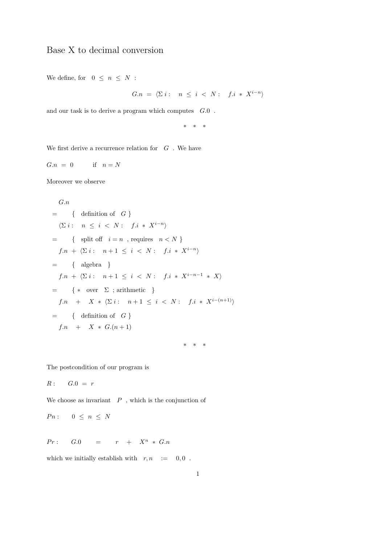## Base X to decimal conversion

We define, for  $0 \leq n \leq N$ :

$$
G.n = \langle \Sigma i : n \le i \langle N : f.i * X^{i-n} \rangle
$$

and our task is to derive a program which computes  $G.0$ .

\* \* \*

We first derive a recurrence relation for  $\,$  G  $\,$  . We have

$$
G.n = 0 \qquad \text{if} \quad n = N
$$

Moreover we observe

$$
G.n
$$
  
\n
$$
= \{ \text{ definition of } G \}
$$
  
\n
$$
\langle \Sigma i : n \leq i < N : f.i * X^{i-n} \rangle
$$
  
\n
$$
= \{ \text{ split off } i = n , \text{ requires } n < N \}
$$
  
\n
$$
f.n + \langle \Sigma i : n + 1 \leq i < N : f.i * X^{i-n} \rangle
$$
  
\n
$$
= \{ \text{ algebra } \}
$$
  
\n
$$
f.n + \langle \Sigma i : n + 1 \leq i < N : f.i * X^{i-n-1} * X \rangle
$$
  
\n
$$
= \{ * \text{ over } \Sigma ; \text{ arithmetic } \}
$$
  
\n
$$
f.n + X * \langle \Sigma i : n + 1 \leq i < N : f.i * X^{i-(n+1)} \rangle
$$
  
\n
$$
= \{ \text{ definition of } G \}
$$
  
\n
$$
f.n + X * G.(n + 1)
$$

The postcondition of our program is

$$
R: \qquad G.0 \; = \; r
$$

We choose as invariant  $\mathbb P$ , which is the conjunction of

$$
Pn: \quad 0 \leq n \leq N
$$

 $Pr: G.0 = r + X^n * G.n$ 

which we initially establish with  $r, n$  := 0,0.

\* \* \*